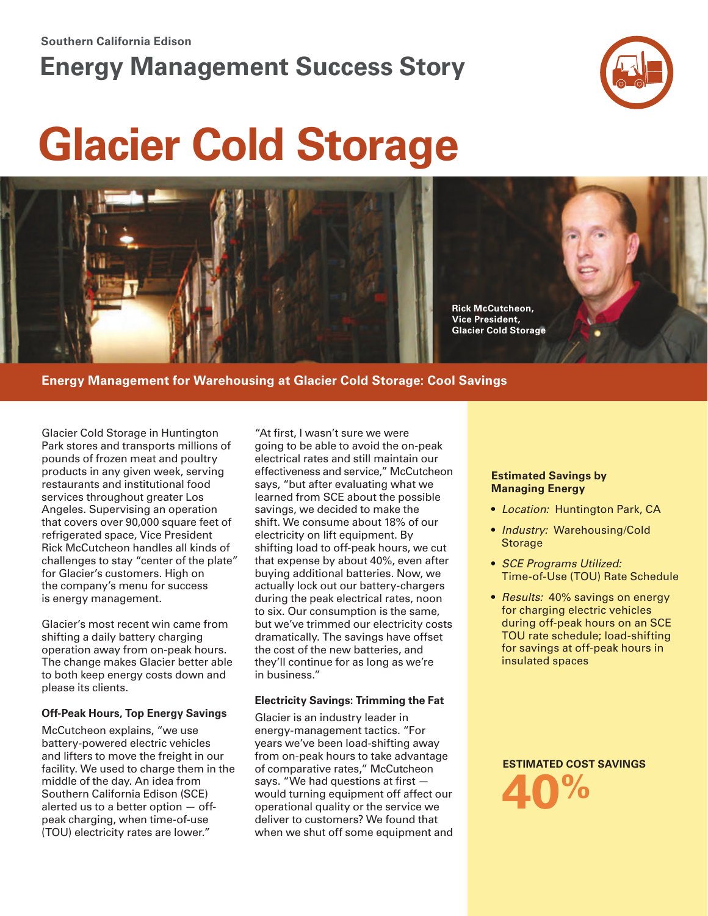#### **Southern California Edison**

## **Energy Management Success Story**



# **Glacier Cold Storage**



**Energy Management for Warehousing at Glacier Cold Storage: Cool Savings**

Glacier Cold Storage in Huntington Park stores and transports millions of pounds of frozen meat and poultry products in any given week, serving restaurants and institutional food services throughout greater Los Angeles. Supervising an operation that covers over 90,000 square feet of refrigerated space, Vice President Rick McCutcheon handles all kinds of challenges to stay "center of the plate" for Glacier's customers. High on the company's menu for success is energy management.

Glacier's most recent win came from shifting a daily battery charging operation away from on-peak hours. The change makes Glacier better able to both keep energy costs down and please its clients.

#### **Off-Peak Hours, Top Energy Savings**

McCutcheon explains, "we use battery-powered electric vehicles and lifters to move the freight in our facility. We used to charge them in the middle of the day. An idea from Southern California Edison (SCE) alerted us to a better option — offpeak charging, when time-of-use (TOU) electricity rates are lower."

"At first, I wasn't sure we were going to be able to avoid the on-peak electrical rates and still maintain our effectiveness and service," McCutcheon says, "but after evaluating what we learned from SCE about the possible savings, we decided to make the shift. We consume about 18% of our electricity on lift equipment. By shifting load to off-peak hours, we cut that expense by about 40%, even after buying additional batteries. Now, we actually lock out our battery-chargers during the peak electrical rates, noon to six. Our consumption is the same, but we've trimmed our electricity costs dramatically. The savings have offset the cost of the new batteries, and they'll continue for as long as we're in business."

#### **Electricity Savings: Trimming the Fat**

Glacier is an industry leader in energy-management tactics. "For years we've been load-shifting away from on-peak hours to take advantage of comparative rates," McCutcheon says. "We had questions at first would turning equipment off affect our operational quality or the service we deliver to customers? We found that when we shut off some equipment and

#### **Estimated Savings by Managing Energy**

- *Location:* Huntington Park, CA
- *Industry:* Warehousing/Cold Storage
- *SCE Programs Utilized:* Time-of-Use (TOU) Rate Schedule
- *Results:* 40% savings on energy for charging electric vehicles during off-peak hours on an SCE TOU rate schedule; load-shifting for savings at off-peak hours in insulated spaces

**4 ESTIM ATED COST SAVINGS 0 %**